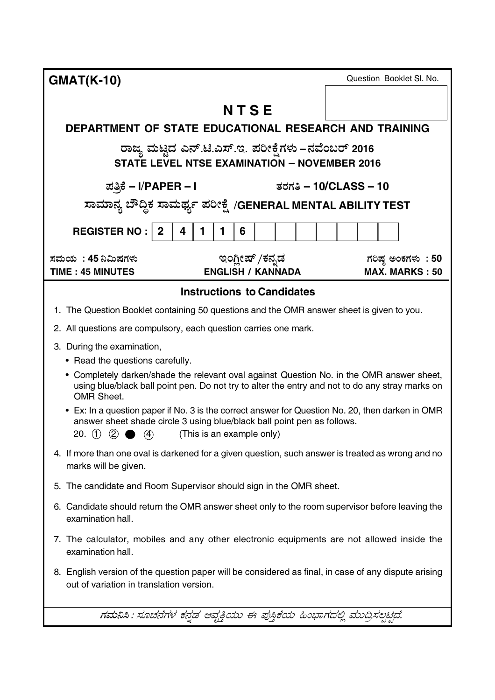| <b>GMAT(K-10)</b>                                                                                                                                                                                                                                             | Question Booklet SI. No.                    |  |  |
|---------------------------------------------------------------------------------------------------------------------------------------------------------------------------------------------------------------------------------------------------------------|---------------------------------------------|--|--|
|                                                                                                                                                                                                                                                               |                                             |  |  |
| NTSE                                                                                                                                                                                                                                                          |                                             |  |  |
| DEPARTMENT OF STATE EDUCATIONAL RESEARCH AND TRAINING                                                                                                                                                                                                         |                                             |  |  |
| ರಾಜ್ಯ ಮಟ್ಟದ ಎನ್.ಟಿ.ಎಸ್.ಇ. ಪರೀಕ್ಷೆಗಳು –ನವೆಂಬರ್ 2016<br><b>STATE LEVEL NTSE EXAMINATION - NOVEMBER 2016</b>                                                                                                                                                     |                                             |  |  |
| ಪತ್ರಿಕೆ – I/PAPER – I                                                                                                                                                                                                                                         | ತರಗತಿ – 10/CLASS – 10                       |  |  |
| ಸಾಮಾನ್ಯ ಬೌದ್ದಿಕ ಸಾಮರ್ಥ್ಯ ಪರೀಕ್ಷೆ /GENERAL MENTAL ABILITY TEST                                                                                                                                                                                                 |                                             |  |  |
| <b>REGISTER NO:  </b><br>$\mathbf{2}$<br>4<br>1<br>1<br>6                                                                                                                                                                                                     |                                             |  |  |
| ಸಮಯ  : 45 ನಿಮಿಷಗಳು<br>ಇಂಗ್ಲೀಷ್ /ಕನ್ನಡ<br><b>ENGLISH / KANNADA</b><br><b>TIME: 45 MINUTES</b>                                                                                                                                                                  | ಗರಿಷ್ಠ ಅಂಕಗಳು : 50<br><b>MAX. MARKS: 50</b> |  |  |
| <b>Instructions to Candidates</b>                                                                                                                                                                                                                             |                                             |  |  |
| 1. The Question Booklet containing 50 questions and the OMR answer sheet is given to you.                                                                                                                                                                     |                                             |  |  |
| 2. All questions are compulsory, each question carries one mark.                                                                                                                                                                                              |                                             |  |  |
| 3. During the examination,                                                                                                                                                                                                                                    |                                             |  |  |
| • Read the questions carefully.                                                                                                                                                                                                                               |                                             |  |  |
| • Completely darken/shade the relevant oval against Question No. in the OMR answer sheet,<br>using blue/black ball point pen. Do not try to alter the entry and not to do any stray marks on<br><b>OMR Sheet.</b>                                             |                                             |  |  |
| • Ex: In a question paper if No. 3 is the correct answer for Question No. 20, then darken in OMR<br>answer sheet shade circle 3 using blue/black ball point pen as follows.<br>20. (1)<br>$\left( 2\right)$<br>$\left( 4\right)$<br>(This is an example only) |                                             |  |  |
| 4. If more than one oval is darkened for a given question, such answer is treated as wrong and no<br>marks will be given.                                                                                                                                     |                                             |  |  |
| 5. The candidate and Room Supervisor should sign in the OMR sheet.                                                                                                                                                                                            |                                             |  |  |
| 6. Candidate should return the OMR answer sheet only to the room supervisor before leaving the<br>examination hall.                                                                                                                                           |                                             |  |  |
| 7. The calculator, mobiles and any other electronic equipments are not allowed inside the<br>examination hall.                                                                                                                                                |                                             |  |  |
| 8. English version of the question paper will be considered as final, in case of any dispute arising<br>out of variation in translation version.                                                                                                              |                                             |  |  |
| ಗಮನಿಸಿ : ಸೂಚನೆಗಳ ಕನ್ನಡ ಆವೃತ್ತಿಯು ಈ ಪುಸ್ತಿಕೆಯ ಹಿಂಭಾಗದಲ್ಲಿ ಮುದ್ರಿಸಲ್ಪಟ್ಟಿದೆ.                                                                                                                                                                                    |                                             |  |  |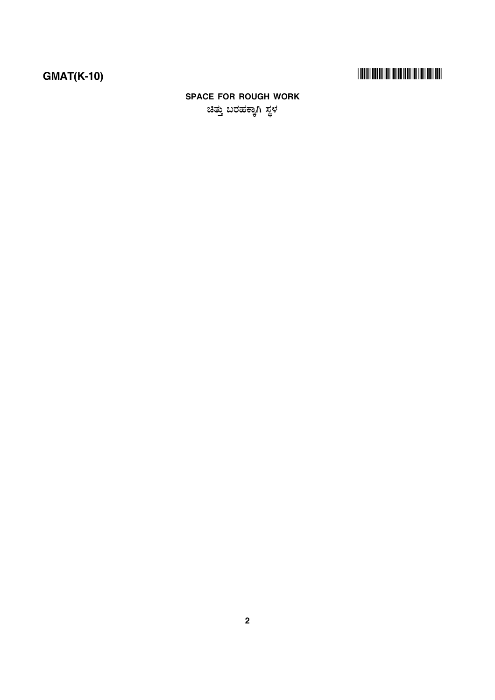# 

# **SPACE FOR ROUGH WORK** ಚಿತ್ತು ಬರಹಕ್ಕಾಗಿ ಸ್ಥಳ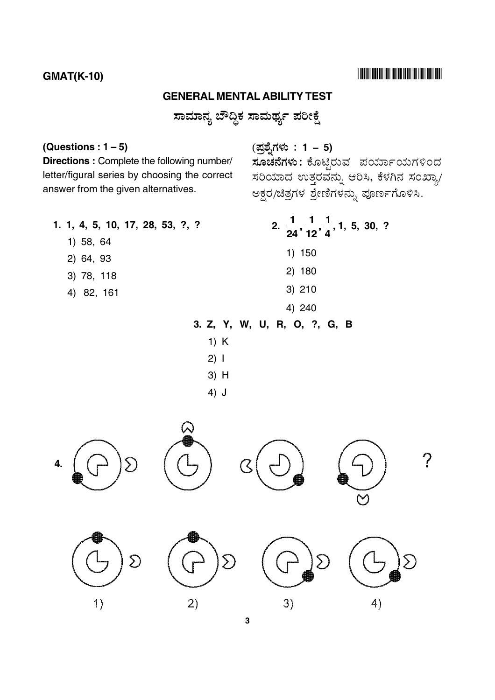### **GMAT(K-10)**

### **GENERAL MENTAL ABILITY TEST**

ಸಾಮಾನ್ಯ ಬೌದ್ಧಿಕ ಸಾಮರ್ಥ್ಯ ಪರೀಕ್ಷೆ

#### (Questions:  $1-5$ )

Directions : Complete the following number/ letter/figural series by choosing the correct answer from the given alternatives.

(ಪ್ರಶ್ನೆಗಳು : 1 – 5)

ಸೂಚನೆಗಳು: ಕೊಟ್ಟಿರುವ ಪರ್ಯಾಯಗಳಿಂದ ಸರಿಯಾದ ಉತ್ತರವನ್ನು ಆರಿಸಿ, ಕೆಳಗಿನ ಸಂಖ್ಯಾ/ ಅಕ್ಷರ/ಚಿತ್ರಗಳ ಶ್ರೇಣಿಗಳನ್ನು ಪೂರ್ಣಗೊಳಿಸಿ.

- 2.  $\frac{1}{24}$ ,  $\frac{1}{12}$ ,  $\frac{1}{4}$ , 1, 5, 30, ? 1. 1, 4, 5, 10, 17, 28, 53, ?, ? 1) 58, 64  $1) 150$ 2) 64, 93 2) 180 3) 78, 118 3) 210 4) 82, 161 4) 240 3. Z, Y, W, U, R, O, ?, G, B  $1) K$  $2) 1$ 
	- 3) H
	- $4)$  J

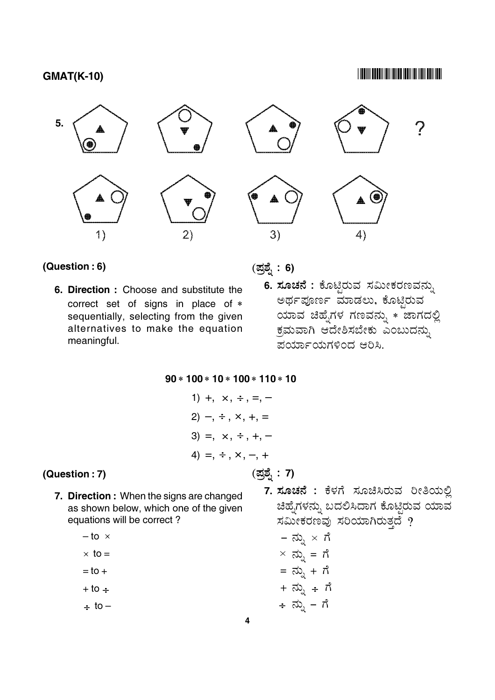#### 



#### (Question: 6)

6. Direction: Choose and substitute the correct set of signs in place of \* sequentially, selecting from the given alternatives to make the equation meaningful.

(ಪ್ರಶ್ನೆ: 6)

(ಪ್ರಶ್ನೆ: 7)

6. ಸೂಚನೆ : ಕೊಟ್ಟಿರುವ ಸಮೀಕರಣವನ್ನು ಅರ್ಥಪೂರ್ಣ ಮಾಡಲು, ಕೊಟ್ಟಿರುವ ಯಾವ ಚಿಹ್ನೆಗಳ ಗಣವನ್ನು  $\ast$  ಚಾಗದಲ್ಲಿ ಕ್ರಮವಾಗಿ ಆದೇಶಿಸಬೇಕು ಎಂಬುದನು, ಪರ್ಯಾಯಗಳಿಂದ ಆರಿಸಿ.

 $90 * 100 * 10 * 100 * 110 * 10$ 

(Question: 7)

7. Direction: When the signs are changed as shown below, which one of the given equations will be correct?

$$
-\text{to} \times
$$

$$
\times
$$
 to =

- $=$  to  $+$
- $+10 -$
- $\div$  to  $-$

7. ಸೂಚನೆ : ಕೆಳಗೆ ಸೂಚಿಸಿರುವ ರೀತಿಯಲ್ಲಿ ಚಿಹ್ನೆಗಳನ್ನು ಬದಲಿಸಿದಾಗ ಕೊಟ್ಟಿರುವ ಯಾವ ಸಮೀಕರಣವು ಸರಿಯಾಗಿರುತ್ತದೆ ?

$$
- \overrightarrow{a}_{\lambda} \times \overrightarrow{n}
$$

$$
\times \overrightarrow{a}_{\lambda} = \overrightarrow{n}
$$

$$
= \overrightarrow{a}_{\lambda} + \overrightarrow{n}
$$

$$
+ \overrightarrow{a}_{\lambda} - \overrightarrow{n}
$$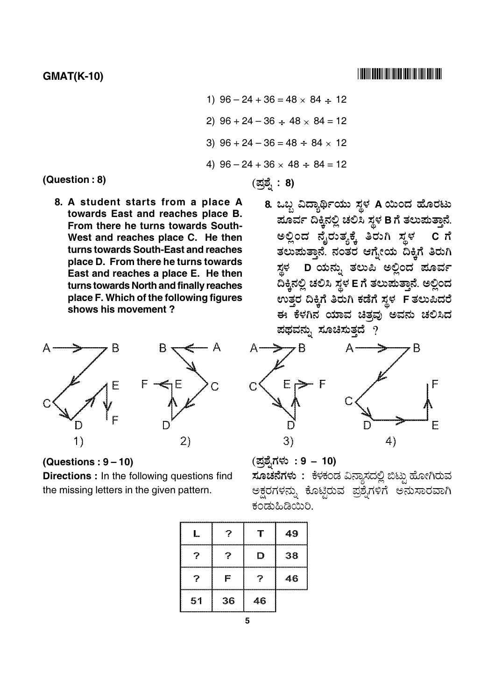1)  $96 - 24 + 36 = 48 \times 84 \div 12$ 2)  $96 + 24 - 36 \div 48 \times 84 = 12$ 3)  $96 + 24 - 36 = 48 \div 84 \times 12$ 4)  $96 - 24 + 36 \times 48 \div 84 = 12$ (ಪ್ರಶ್ನೆ : 8)

(Question: 8)

8. A student starts from a place A towards East and reaches place B. From there he turns towards South-West and reaches place C. He then turns towards South-East and reaches place D. From there he turns towards East and reaches a place E. He then turns towards North and finally reaches place F. Which of the following figures shows his movement?



(Questions:  $9 - 10$ )

Directions : In the following questions find the missing letters in the given pattern.

8. ಒಬ್ಬ ವಿದ್ಯಾರ್ಥಿಯು ಸ್ಥಳ A ಯಿಂದ ಹೊರಟು ಪೂರ್ವ ದಿಕ್ಕಿನಲ್ಲಿ ಚಲಿಸಿ ಸ್ಥಳ B ಗೆ ತಲುಪುತ್ತಾನೆ. ಅಲ್ಲಿಂದ ನೈರುತ್ಯಕ್ಕೆ ತಿರುಗಿ ಸ್ಥಳ ತಲುಪುತ್ತಾನೆ. ನಂತರ ಆಗ್ನೇಯ ದಿಕ್ಕಿಗೆ ತಿರುಗಿ ಸ್ಥಳ D ಯನ್ನು ತಲುಪಿ ಅಲ್ಲಿಂದ ಪೂರ್ವ ದಿಕ್ಕಿನಲ್ಲಿ ಚಲಿಸಿ ಸ್ಥಳ E ಗೆ ತಲುಪುತ್ತಾನೆ. ಅಲ್ಲಿಂದ ಉತ್ತರ ದಿಕ್ಕಿಗೆ ತಿರುಗಿ ಕಡೆಗೆ ಸ್ಥಳ F ತಲುಪಿದರೆ ಈ ಕೆಳಗಿನ ಯಾವ ಚಿತ್ತವು ಅವನು ಚಲಿಸಿದ ಪಥವನ್ನು ಸೂಚಿಸುತ್ತದೆ ?



(ಪ್ರಶ್ನೆಗಳು : 9 – 10) ಸೂಚನೆಗಳು : ಕೆಳಕಂಡ ವಿನ್ಯಾಸದಲ್ಲಿ ಬಿಟ್ಟು ಹೋಗಿರುವ ಪ್ರಶ್ನಗಳಿಗೆ ಅನುಸಾರವಾಗಿ ಅಕ್ಷರಗಳನ್ನು ಕೂಟ್ಟರುವ ಕಂಡುಹಿಡಿಯಿರಿ.

| ,,,,,,,,,,,,,,,,,,,,,,,,,, |    |    | ,,,,,,,,,,,,,,,,,,,,,,,,,,,,,,,,<br>49 |
|----------------------------|----|----|----------------------------------------|
| ____________________       |    | D  | 38                                     |
|                            | F  |    | ---------------------<br>46            |
| 51                         | 36 | 46 |                                        |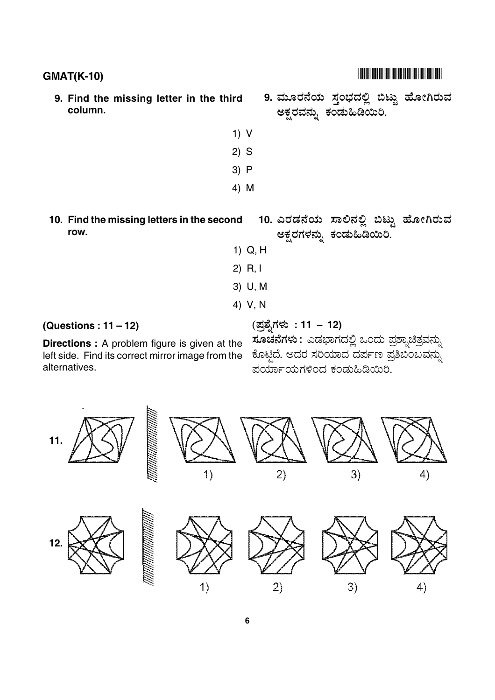- 9. Find the missing letter in the third column.
- 9. ಮೂರನೆಯ ಸಂಭದಲ್ಲಿ ಬಿಟ್ಟು ಹೋಗಿರುವ ಅಕ್ಷರವನ್ನು ಕಂಡುಹಿಡಿಯಿರಿ.
- $1) V$  $2)$  S  $3) P$  $4)$  M
- 10. Find the missing letters in the second row.

10. ಎರಡನೆಯ ಸಾಲಿನಲ್ಲಿ ಬಿಟ್ಟು ಹೋಗಿರುವ ಅಕ್ಷರಗಳನ್ನು ಕಂಡುಹಿಡಿಯಿರಿ.

- $1)$  Q, H
- $2)$  R, I
- 3) U, M
- 4) V.N

## (Questions:  $11 - 12$ )

**Directions:** A problem figure is given at the left side. Find its correct mirror image from the ಕೊಟ್ಟಿದೆ. ಅದರ ಸರಿಯಾದ ದರ್ಪಣ ಪ್ರತಿಬಿಂಬವನ್ನು alternatives.

(ಪ್ರಶ್ನೆಗಳು: 11 – 12) ಸೂಚನೆಗಳು : ಎಡಭಾಗದಲ್ಲಿ ಒಂದು ಪ್ರಶ್ನಾಚಿತ್ರವನ್ನು ಪರ್ಯಾಯಗಳಿಂದ ಕಂಡುಹಿಡಿಯಿರಿ.



#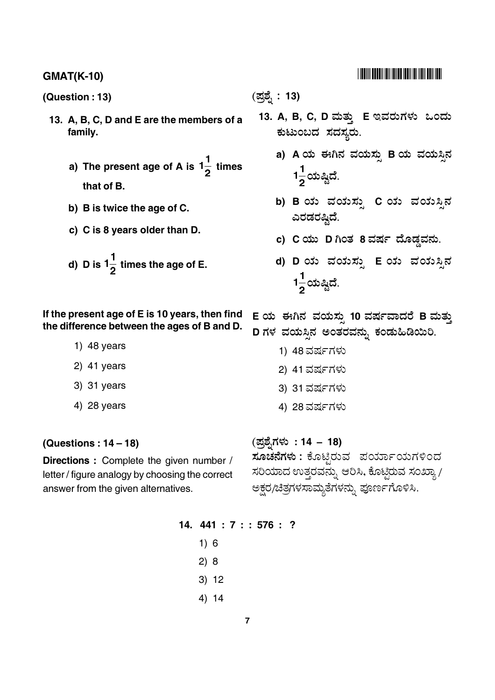(Question: 13)

- 13. A, B, C, D and E are the members of a family.
	- a) The present age of A is  $1\frac{1}{2}$  times that of B.
	- b) B is twice the age of C.
	- c) C is 8 years older than D.
	- d) D is  $1\frac{1}{2}$  times the age of E.

If the present age of E is 10 years, then find the difference between the ages of B and D.

- 1)  $48$  years
- $2)$  41 years
- 3) 31 years
- 4) 28 years

#### (Questions:  $14-18$ )

Directions : Complete the given number / letter / figure analogy by choosing the correct answer from the given alternatives.

## (ಪ್ರಶ್ನೆ: **13)**

- 13. A, B, C, D ಮತ್ತು E ಇವರುಗಳು ಒಂದು ಕುಟುಂಬದ ಸದಸ್ಯರು.
	- a) A ಯ ಈಗಿನ ವಯಸ್ಸು B ಯ ವಯಸಿನ  $1\frac{1}{2}$ ಯಷ್ಠಿದೆ.
	- b) B ಯ ವಯಸ್ಸು C ಯ ವಯಸ್ಸಿನ ಎರಡರಷ್ತಿದೆ.
	- c) C ಯು D ಗಿಂತ 8 ವರ್ಷ ದೊಡ್ಡವನು.
	- d) D ಯ ವಯಸ್ಸು E ಯ ವಯಸ್ಸಿನ  $1\frac{1}{2}$ ಯಷ್ಷಿದೆ.

E ಯ ಈಗಿನ ವಯಸ್ಸು 10 ವರ್ಷವಾದರೆ B ಮತ್ತು D ಗಳ ವಯಸ್ಸಿನ ಅಂತರವನ್ನು ಕಂಡುಹಿಡಿಯಿರಿ.

- 1) 48 ವರ್ಷಗಳು
- 2) 41 ವರ್ಷಗಳು
- 3) 31 ವರ್ಷಗಳು
- 4) 28 ವರ್ಷಗಳು

(ಪ್ರಶೈಗಳು: 14 – 18)

<mark>ಸೂಚನೆಗಳು</mark> : ಕೊಟ್ಟಿರುವ ಪರ್ಯಾಯಗಳಿಂದ ಸರಿಯಾದ ಉತ್ತರವನ್ನು ಆರಿಸಿ, ಕೊಟ್ಟಿರುವ ಸಂಖ್ಯಾ / ಅಕ್ಷರ/ಚಿತ್ರಗಳಸಾಮ್ಮತೆಗಳನ್ನು ಪೂರ್ಣಗೊಳಿಸಿ.

14.  $441 : 7 : 576 : ?$  $1)6$  $2) 8$  $3) 12$  $4) 14$ 

###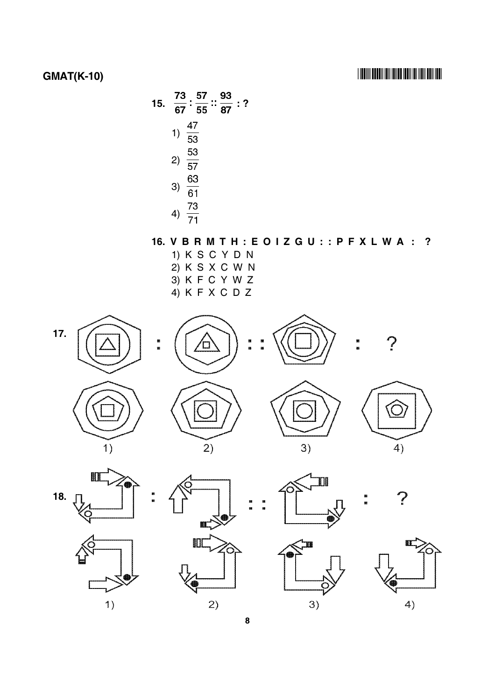

## 16. VBRMTH: EOIZGU: : PFXLWA: ?

- 1) K S C Y D N 2) K S X C W N  $3)$  K F C Y W Z
	- $4)$  K F X C D Z





П















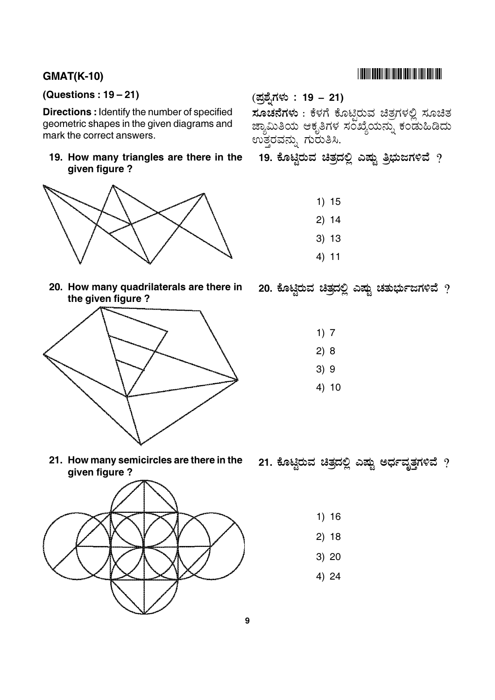## **GMAT(K-10)**

## (Questions:  $19-21$ )

**Directions:** Identify the number of specified geometric shapes in the given diagrams and mark the correct answers.

19. How many triangles are there in the qiven fiqure?



20. How many quadrilaterals are there in the given figure?



(ಪ್ರಶ್ನೆಗಳು : 19 – 21)

ಸೂಚನೆಗಳು : ಕೆಳಗೆ ಕೊಟಿರುವ ಚಿತ್ರಗಳಲ್ಲಿ ಸೂಚಿತ ಜ್ಯಾಮಿತಿಯ ಆಕೃತಿಗಳ ಸಂಖ್ಯೆಯನ್ನು ಕಂಡುಹಿಡಿದು ಉತ್ತರವನ್ನು ಗುರುತಿಸಿ.

- 19. ಕೊಟ್ಟಿರುವ ಚಿತ್ರದಲ್ಲಿ ಎಷ್ಟು ತ್ರಿಭುಜಗಳಿವೆ ?
	- $1) 15$
	- $2) 14$
	- $3) 13$
	- $4) 11$

# 20. ಕೊಟ್ಲಿರುವ ಚಿತ್ರದಲ್ಲಿ ಎಷ್ಟು ಚತುರ್ಭುಜಗಳಿವೆ ?

- $1)7$
- $2) 8$
- $3)9$
- $4) 10$

21. How many semicircles are there in the given figure?



- 21. ಕೊಟ್ಟಿರುವ ಚಿತ್ರದಲ್ಲಿ ಎಷ್ಟು ಅರ್ಧವೃತ್ತಗಳಿವೆ ?
	- $1) 16$
	- $2) 18$
	- $3) 20$
	- 4) 24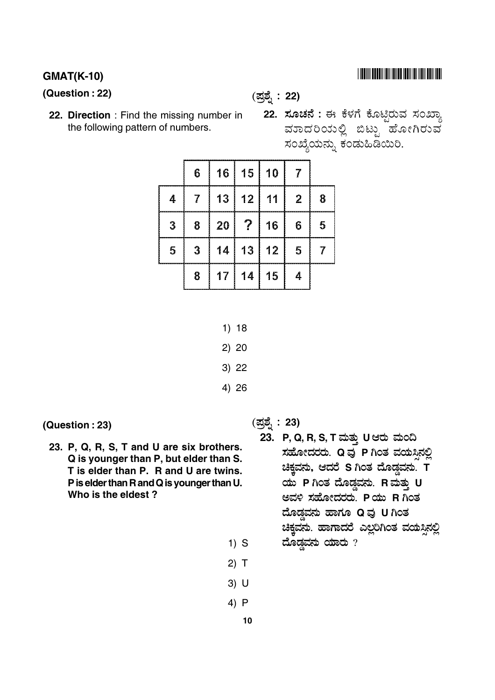#### **GMAT(K-10)**

(Question: 22)

(ಪ್ರಶ್ನೆ: 22)

22. Direction: Find the missing number in the following pattern of numbers.

22. ಸೂಚನೆ : ಈ ಕೆಳಗೆ ಕೊಟ್ಟಿರುವ ಸಂಖ್ಯಾ ವಾಾದರಿಯಲ್ಲಿ ಬಿಟ್ಟು ಹೋಗಿರುವ ಸಂಖ್ಯೆಯನ್ನು ಕಂಡುಹಿಡಿಯಿರಿ.

|   | 6  |    | 16   15        | 10              | 7                |   |
|---|----|----|----------------|-----------------|------------------|---|
| 4 | -7 |    | 13 12          | $\overline{11}$ | $\boldsymbol{2}$ | 8 |
| 3 | 8  | 20 | $\mathcal{P}$  | 16              | 6                | 5 |
| 5 | 3  |    | $14$   13   12 |                 | 5                |   |
|   | 8  |    | $17$   14   15 |                 | 4                |   |

- $1) 18$
- $2) 20$
- $3) 22$
- 4) 26

(Question: 23)

23. P, Q, R, S, T and U are six brothers. Q is younger than P, but elder than S. T is elder than P. R and U are twins. P is elder than R and Q is younger than U. Who is the eldest?

(ಪ್ರಶ್ನೆ: 23)

- 23. P, Q, R, S, T ಮತ್ತು U ಆರು ಮಂದಿ ಸಹೋದರರು. Q ವು P ಗಿಂತ ವಯಸಿನಲ್ಲಿ ಚಿಕ್ತವನು, ಆದರೆ S ಗಿಂತ ದೊಡ್ಡವನು. T ಯು P ಗಿಂತ ದೊಡ್ಡವನು. R ಮತ್ತು U ಅವಳಿ ಸಹೋದರರು. P ಯು R ಗಿಂತ ದೊಡ್ಡವನು ಹಾಗೂ Q ವು U ಗಿಂತ ಚಿಕ್ಕವನು. ಹಾಗಾದರೆ ಎಲ್ಲರಿಗಿಂತ ವಯಸ್ಸಿನಲ್ಲಿ ದೊಡ್ಡವನು ಯಾರು  $?$
- $3)$  U

 $1)$  S

 $2)$  T

4)  $P$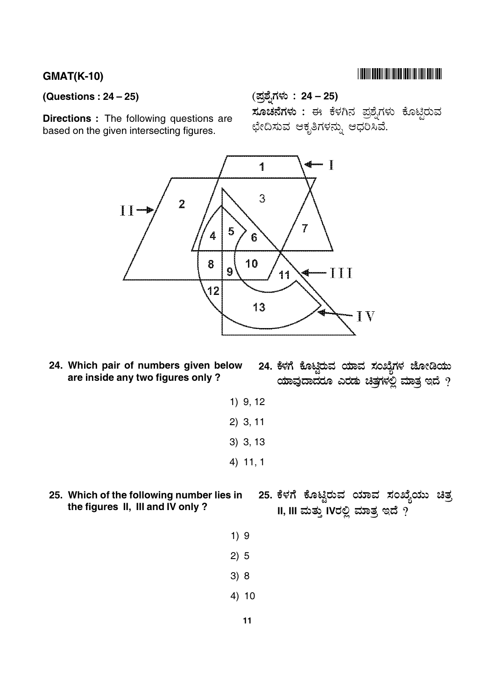## 

#### (Questions:  $24 - 25$ )

**Directions** : The following questions are based on the given intersecting figures.

## (ಪ್ರಶೈಗಳು: 24 – 25)

ಸೂಚನೆಗಳು : ಈ ಕೆಳಗಿನ ಪ್ರಶ್ನೆಗಳು ಕೊಟ್ಟಿರುವ ಛೇದಿಸುವ ಆಕೃತಿಗಳನ್ನು ಆಧರಿಸಿವೆ.



24. Which pair of numbers given below are inside any two figures only?

24. ಕೆಳಗೆ ಕೊಟ್ಟಿರುವ ಯಾವ ಸಂಖ್ಯೆಗಳ ಜೋಡಿಯು ಯಾವುದಾದರೂ ಎರಡು ಚಿತ್ರಗಳಲ್ಲಿ ಮಾತ್ರ ಇದೆ  $\gamma$ 

- $1)$  9, 12  $2)$  3, 11  $3)$  3, 13 4) 11, 1
- 25. ಕೆಳಗೆ ಕೊಟ್ಟಿರುವ ಯಾವ ಸಂಖ್ಯೆಯು ಚಿತ್ರ 25. Which of the following number lies in the figures II, III and IV only ? II, III ಮತ್ತು IVರಲ್ಲಿ ಮಾತ್ರ ಇದೆ  $\overline{?}$ 
	- $1)9$  $2) 5$
	- $3)8$
	- $4) 10$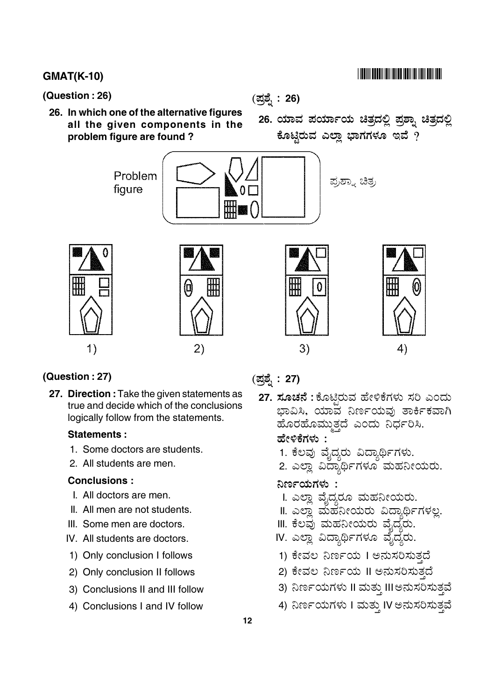#### **GMAT(K-10)**

(Question: 26)

26. In which one of the alternative figures all the given components in the problem figure are found?

(ಪ್ರಶ್ನೆ : 26)

26. ಯಾವ ಪರ್ಯಾಯ ಚಿತ್ರದಲ್ಲಿ ಪ್ರಶ್ನಾ ಚಿತ್ರದಲ್ಲಿ ಕೊಟ್ಟಿರುವ ಎಲ್ಲಾ ಭಾಗಗಳೂ ಇವೆ ?



#### (Question: 27)

27. Direction: Take the given statements as true and decide which of the conclusions logically follow from the statements.

#### **Statements:**

- 1. Some doctors are students.
- 2. All students are men.

#### **Conclusions:**

- I. All doctors are men.
- II. All men are not students.
- III. Some men are doctors.
- IV. All students are doctors.
- 1) Only conclusion I follows
- 2) Only conclusion II follows
- 3) Conclusions II and III follow
- 4) Conclusions I and IV follow

### (ಪ್ರಶ್ನೆ: 27)

27. ಸೂಚನೆ : ಕೊಟ್ಲಿರುವ ಹೇಳಿಕೆಗಳು ಸರಿ ಎಂದು ಭಾವಿಸಿ, ಯಾವ ನಿರ್ಣಯವು ತಾರ್ಕಿಕವಾಗಿ ಹೊರಹೊಮುತದೆ ಎಂದು ನಿರ್ಧರಿಸಿ.

#### ಹೇಳಿಕೆಗಳು :

- 1. ಕೆಲವು ವೈದ್ಯರು ವಿದ್ಯಾರ್ಥಿಗಳು.
- 2. ಎಲ್ಲಾ ವಿದ್ಯಾರ್ಥಿಗಳೂ ಮಹನೀಯರು.

#### ನಿರ್ಣಯಗಳು :

- I. ಎಲ್ಲಾ ವೈದ್ಯರೂ ಮಹನೀಯರು.
- II. ಎಲಾ ಮಹನೀಯರು ವಿದ್ಯಾರ್ಥಿಗಳಲ.
- III. ಕೆಲವು ಮಹನೀಯರು ವೈದ್ಯರು.
- IV. ಎಲ್ಲಾ ವಿದ್ಯಾರ್ಥಿಗಳೂ ವೈದ್ಯರು.
- 1) ಕೇವಲ ನಿರ್ಣಯ I ಅನುಸರಿಸುತದೆ
- 2) ಕೇವಲ ನಿರ್ಣಯ II ಅನುಸರಿಸುತ್ತದೆ
- 3) ನಿರ್ಣಯಗಳು II ಮತ್ತು III ಅನುಸರಿಸುತ್ತವೆ
- 4) ನಿರ್ಣಯಗಳು I ಮತ್ತು IV ಅನುಸರಿಸುತ್ತವೆ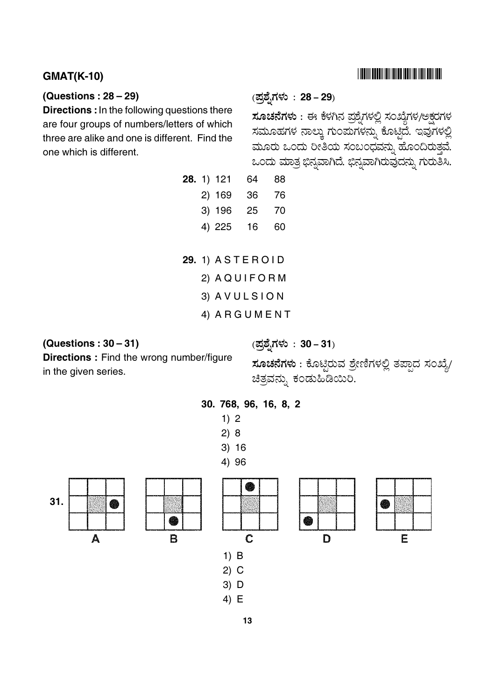#### **GMAT(K-10)**

#### (Questions:  $28 - 29$ )

Directions : In the following questions there are four groups of numbers/letters of which three are alike and one is different. Find the one which is different.

## (ಪ್ರಶೈಗಳು: 28 - 29)

(ಪ್ರಶ್ನೆಗಳು: 30-31)

ಸೂಚನೆಗಳು : ಈ ಕೆಳಗಿನ ಪ್ರಶ್ನೆಗಳಲ್ಲಿ ಸಂಖ್ಯೆಗಳ/ಅಕ್ಷರಗಳ ಸಮೂಹಗಳ ನಾಲ್ಕು ಗುಂಪುಗಳನ್ನು ಕೊಟ್ಟಿದೆ. ಇವುಗಳಲ್ಲಿ ಮೂರು ಒಂದು ರೀತಿಯ ಸಂಬಂಧವನ್ನು ಹೊಂದಿರುತ್ತವೆ. ಒಂದು ಮಾತ್ರ ಭಿನ್ನವಾಗಿದೆ. ಭಿನ್ನವಾಗಿರುವುದನ್ನು ಗುರುತಿಸಿ.

|  | <b>28.</b> 1) 121 | 64 | 88 |
|--|-------------------|----|----|
|  | 2) 169            | 36 | 76 |
|  | 3) 196            | 25 | 70 |
|  | 4) 225            | 16 | 60 |

- **29. 1) ASTEROID** 
	- 2) AQUIFORM
	- 3) AVULSION
	- 4) ARGUMENT

#### (Questions:  $30 - 31$ )

**Directions:** Find the wrong number/figure in the given series.

<mark>ಸೂಚನೆಗಳು</mark> : ಕೊಟ್ಟಿರುವ ಶ್ರೇಣಿಗಳಲ್ಲಿ ತಪ್ಪಾದ ಸಂಖ್ಯೆ/

Ē



ಚಿತ್ರವನ್ನು ಕಂಡುಹಿಡಿಯಿರಿ.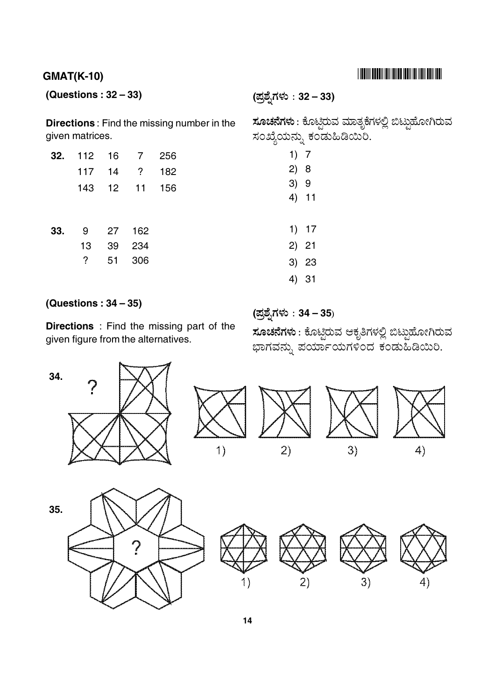## **GMAT(K-10)**

## (Questions:  $32 - 33$ )

(ಪ್ರಶೈಗಳು : 32 – 33)

**Directions:** Find the missing number in the given matrices.

| 32. | 112 | 16 | 7   | 256 |
|-----|-----|----|-----|-----|
|     | 117 | 14 | ?   | 182 |
|     | 143 | 12 | 11  | 156 |
|     |     |    |     |     |
|     |     |    |     |     |
| 33. | 9   | 27 | 162 |     |
|     | 13  | 39 | 234 |     |
|     | ?   | 51 | 306 |     |
|     |     |    |     |     |

ಸೂಚನೆಗಳು : ಕೊಟ್ಟಿರುವ ಮಾತೃಕೆಗಳಲ್ಲಿ ಬಿಟ್ಟುಹೋಗಿರುವ ಸಂಖ್ಯೆಯನ್ನು ಕಂಡುಹಿಡಿಯಿಂ.

- $1) 7$
- $2) 8$
- $3) 9$  $4) 11$
- $1) 17$
- $2) 21$
- $3) 23$
- 4) 31

## (Questions:  $34-35$ )

Directions: Find the missing part of the given figure from the alternatives.

## (ಪ್ರಶ್ನೆಗಳು : 34 – 35)

ಸೂಚನೆಗಳು : ಕೊಟ್ಟಿರುವ ಆಕೃತಿಗಳಲ್ಲಿ ಬಿಟ್ಟುಹೋಗಿರುವ ಭಾಗವನ್ನು ಪರ್ಯಾಯಗಳಿಂದ ಕಂಡುಹಿಡಿಯಿರಿ.









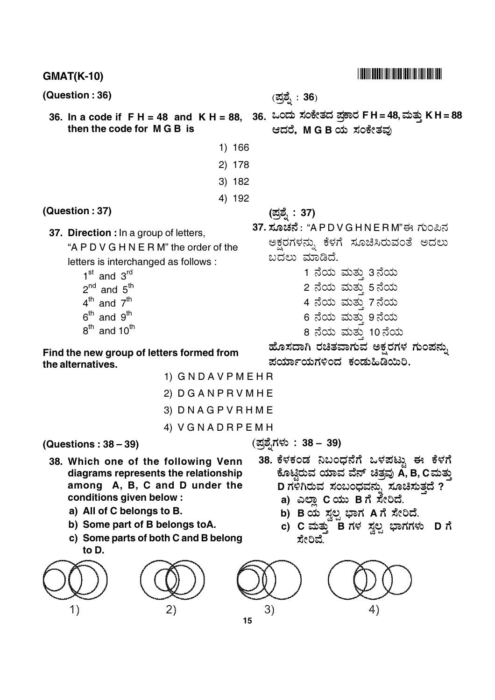| <b>GMAT(K-10)</b>                                                                                                                                                                                                                                                                                                                                                                                                                                                                                                           |                                                                                                                                                                                                                                                                          |  |  |  |
|-----------------------------------------------------------------------------------------------------------------------------------------------------------------------------------------------------------------------------------------------------------------------------------------------------------------------------------------------------------------------------------------------------------------------------------------------------------------------------------------------------------------------------|--------------------------------------------------------------------------------------------------------------------------------------------------------------------------------------------------------------------------------------------------------------------------|--|--|--|
| (Question : 36)                                                                                                                                                                                                                                                                                                                                                                                                                                                                                                             | (ಪ್ರಶ್ನೆ : <b>36</b> )                                                                                                                                                                                                                                                   |  |  |  |
| 36. In a code if $F H = 48$ and $K H = 88$ ,<br>then the code for MGB is                                                                                                                                                                                                                                                                                                                                                                                                                                                    | 36. ಒಂದು ಸಂಕೇತದ ಪ್ರಕಾರ FH=48,ಮತ್ತು KH=88<br>ಆದರೆ, M G B ಯ ಸಂಕೇತವು                                                                                                                                                                                                        |  |  |  |
| 1) 166                                                                                                                                                                                                                                                                                                                                                                                                                                                                                                                      |                                                                                                                                                                                                                                                                          |  |  |  |
| 2) 178                                                                                                                                                                                                                                                                                                                                                                                                                                                                                                                      |                                                                                                                                                                                                                                                                          |  |  |  |
| 3) 182                                                                                                                                                                                                                                                                                                                                                                                                                                                                                                                      |                                                                                                                                                                                                                                                                          |  |  |  |
| 4) 192                                                                                                                                                                                                                                                                                                                                                                                                                                                                                                                      |                                                                                                                                                                                                                                                                          |  |  |  |
| (Question: 37)                                                                                                                                                                                                                                                                                                                                                                                                                                                                                                              | (ಪ್ರಶ್ನೆ : 37)                                                                                                                                                                                                                                                           |  |  |  |
| 37. Direction : In a group of letters,<br>"A P D V G H N E R M" the order of the<br>letters is interchanged as follows :<br>$1st$ and $3rd$<br>$2^{nd}$ and $5^{th}$<br>$4^{\text{th}}$ and $7^{\text{th}}$<br>$6th$ and $9th$<br>$8th$ and 10 <sup>th</sup><br>Find the new group of letters formed from<br>the alternatives.<br>1) GNDAVPMEHR                                                                                                                                                                             | 37. ಸೂಚನೆ : "A P D V G H N E R M"ಈ ಗುಂಪಿನ<br>ಅಕ್ಷರಗಳನ್ನು ಕೆಳಗೆ ಸೂಚಿಸಿರುವಂತೆ ಅದಲು<br>ಬದಲು ಮಾಡಿದೆ.<br>1 ನೆಯ ಮತ್ತು 3ನೆಯ<br>2 ನೆಯ ಮತ್ತು 5ನೆಯ<br>4 ನೆಯ ಮತ್ತು 7ನೆಯ<br>6 ನೆಯ ಮತ್ತು 9ನೆಯ<br>8 ನೆಯ ಮತ್ತು 10ನೆಯ<br>ಹೊಸದಾಗಿ ರಚಿತವಾಗುವ ಅಕ್ಷರಗಳ ಗುಂಪನ್ನು<br>ಪರ್ಯಾಯಗಳಿಂದ ಕಂಡುಹಿಡಿಯಿರಿ. |  |  |  |
| 2) DGANPRVMHE                                                                                                                                                                                                                                                                                                                                                                                                                                                                                                               |                                                                                                                                                                                                                                                                          |  |  |  |
| 3) DNAGPVRHME                                                                                                                                                                                                                                                                                                                                                                                                                                                                                                               |                                                                                                                                                                                                                                                                          |  |  |  |
| 4) VGNADRPEMH                                                                                                                                                                                                                                                                                                                                                                                                                                                                                                               | (ಪ್ರಶೈಗಳು : 38 – 39)                                                                                                                                                                                                                                                     |  |  |  |
| (Questions: $38-39$ )<br>38. ಕೆಳಕಂಡ ನಿಬಂಧನೆಗೆ ಒಳಪಟ್ಟು ಈ ಕೆಳಗೆ<br>38. Which one of the following Venn<br>ಕೊಟ್ಟಿರುವ ಯಾವ ವೆನ್ ಚಿತ್ರವು A, B, C ಮತ್ತು<br>diagrams represents the relationship<br>D ಗಳಿಗಿರುವ ಸಂಬಂಧವನ್ನು ಸೂಚಿಸುತ್ತದೆ ?<br>among A, B, C and D under the<br>conditions given below :<br>a) ಎಲ್ಲಾ Cಯು Bಗೆ ಸೇರಿದೆ.<br>a) All of C belongs to B.<br>b) B ಯ ಸ್ವಲ್ಪ ಭಾಗ A ಗೆ ಸೇರಿದೆ.<br>b) Some part of B belongs toA.<br>c) C ಮತ್ತು B ಗಳ ಸ್ವಲ್ಪ ಭಾಗಗಳು D ಗೆ<br>c) Some parts of both C and B belong<br>ಸೇರಿವೆ.<br>to D. |                                                                                                                                                                                                                                                                          |  |  |  |
| (2)<br>1)<br>15                                                                                                                                                                                                                                                                                                                                                                                                                                                                                                             | 3)<br>4)                                                                                                                                                                                                                                                                 |  |  |  |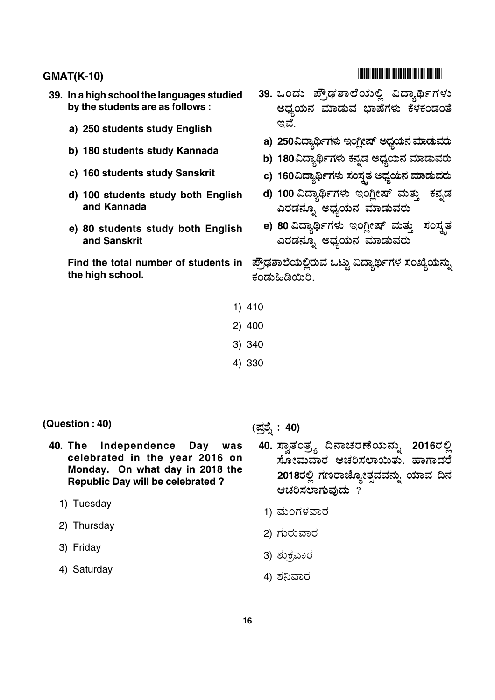- 39. In a high school the languages studied by the students are as follows:
	- a) 250 students study English
	- b) 180 students study Kannada
	- c) 160 students study Sanskrit
	- d) 100 students study both English and Kannada
	- e) 80 students study both English and Sanskrit

Find the total number of students in the high school.

- 
- 39. ಒಂದು ಪ್ರೌಢಶಾಲೆಯಲ್ಲಿ ವಿದ್ಯಾರ್ಥಿಗಳು ಅಧ್ಯಯನ ಮಾಡುವ ಭಾಷೆಗಳು ಕೆಳಕಂಡಂತೆ ಇವೆ.
	- a) 250ವಿದ್ಯಾರ್ಥಿಗಳು ಇಂಗ್ಲೀಷ್ ಅಧ್ಯಯನ ಮಾಡುವರು
	- b) 180ವಿದ್ಯಾರ್ಥಿಗಳು ಕನ್ನಡ ಅಧ್ಯಯನ ಮಾಡುವರು
	- c) 160ವಿದ್ಯಾರ್ಥಿಗಳು ಸಂಸ್ತತ ಅಧ್ಯಯನ ಮಾಡುವರು
- d) 100 ವಿದ್ಯಾರ್ಥಿಗಳು ಇಂಗ್ಷೀಷ್ ಮತ್ತು ಕನ್ನಡ ಎರಡನ್ನೂ ಅಧ್ಯಯನ ಮಾಡುವರು
- e) 80 ವಿದ್ಯಾರ್ಥಿಗಳು ಇಂಗ್ಲೀಷ್ ಮತ್ತು ಸಂಸ್ಕೃತ ಎರಡನ್ನೂ ಅಧ್ಯಯನ ಮಾಡುವರು

ಪ್ರೌಢಶಾಲೆಯಲ್ಲಿರುವ ಒಟ್ಟು ವಿದ್ಯಾರ್ಥಿಗಳ ಸಂಖ್ಯೆಯನ್ನು ಕಂಡುಹಿಡಿಯಿರಿ.

- $1)$  410
- $2)$  400
- 3) 340
- 4) 330

- (Question: 40)
	- was 40. The Independence Day celebrated in the year 2016 on Monday. On what day in 2018 the **Republic Day will be celebrated?** 
		- 1) Tuesday
		- 2) Thursday
		- 3) Friday
		- 4) Saturday

(ಪ್ರಶ್ನೆ : 40)

- 40. ಸ್ವಾತಂತ್ರ್ಯ ದಿನಾಚರಣೆಯನ್ನು 2016ರಲ್ಲಿ ಸೋಮವಾರ ಆಚರಿಸಲಾಯಿತು. ಹಾಗಾದರೆ 2018ರಲ್ಲಿ ಗಣರಾಜ್ಯೋತ್ಸವವನ್ನು ಯಾವ ದಿನ ಆಚರಿಸಲಾಗುವುದು?
	- 1) ಮಂಗಳವಾರ
- 2) ಗುರುವಾರ
- 3) ಶುಕ್ರವಾರ
- 4) ಶನಿವಾರ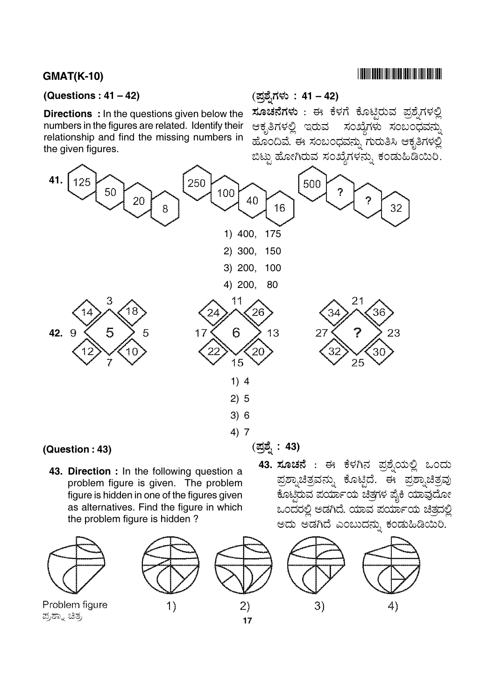#### (Questions:  $41 - 42$ )

**Directions** : In the questions given below the numbers in the figures are related. Identify their relationship and find the missing numbers in the given figures.

(ಪ್ರಶ್ನೆಗಳು : 41 – 42)

ಸೂಚನೆಗಳು : ಈ ಕೆಳಗೆ ಕೊಟ್ಟಿರುವ ಪ್ರಶ್ನೆಗಳಲ್ಲಿ ಆಕೃತಿಗಳಲ್ಲಿ ಇರುವ ಸಂಖ್ಯೆಗಳು ಸಂಬಂಧವನ್ನು ಹೊಂದಿವೆ. ಈ ಸಂಬಂಧವನ್ನು ಗುರುತಿಸಿ ಆಕೃತಿಗಳಲ್ಲಿ ಬಿಟ್ಟು ಹೋಗಿರುವ ಸಂಖ್ಯೆಗಳನ್ನು ಕಂಡುಹಿಡಿಯಿರಿ.



43. Direction : In the following question a problem figure is given. The problem figure is hidden in one of the figures given as alternatives. Find the figure in which the problem figure is hidden?

Problem figure ಪ್ರಶ್ನಾ ಚಿತ್ರ



 $(2)$  $17$  43. ಸೂಚನೆ : ಈ ಕೆಳಗಿನ ಪ್ರಶ್ನೆಯಲ್ಲಿ ಒಂದು ಪ್ರಶ್ನಾಚಿತ್ರವನ್ನು ಕೊಟ್ಟಿದೆ. ಈ ಪ್ರಶ್ನಾಚಿತ್ರವು ಕೊಟ್ಟಿರುವ ಪರ್ಯಾಯ ಚಿತ್ರಗಳ ಪೈಕಿ ಯಾವುದೋ ಒಂದರಲ್ಲಿ ಅಡಗಿದೆ. ಯಾವ ಪರ್ಯಾಯ ಚಿತ್ರದಲ್ಲಿ ಅದು ಅಡಗಿದೆ ಎಂಬುದನ್ನು ಕಂಡುಹಿಡಿಯಿರಿ.



##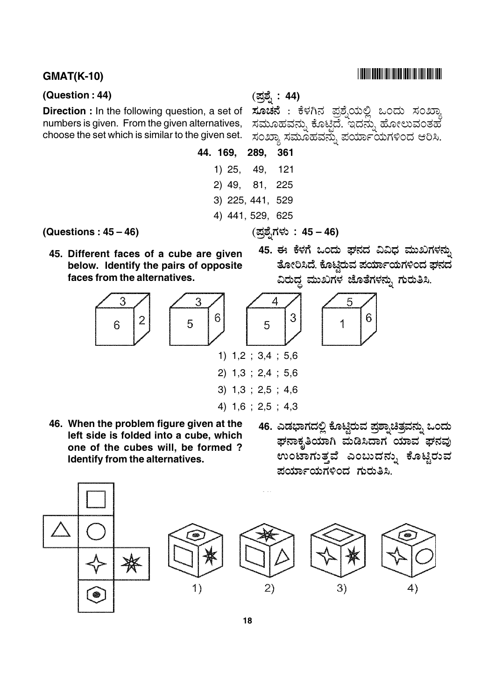#### **GMAT(K-10)**

#### (Question: 44)

Direction : In the following question, a set of numbers is given. From the given alternatives, choose the set which is similar to the given set. (ಪತ್<u>ಸ</u>ೆ : 44)

ಸೂಚನೆ : ಕೆಳಗಿನ ಪ್ರಶ್ನೆಯಲ್ಲಿ ಒಂದು ಸಂಖ್ಯಾ ಸಮೂಹವನ್ನು ಕೊಟ್ಟಿದೆ. ಇದನ್ನು ಹೋಲುವಂತಹ ಸಂಖ್ಯಾ ಸಮೂಹವನ್ನು ಪರ್ಯಾಯಗಳಿಂದ ಆರಿಸಿ.

44. 169. 361 289.  $1)25,$ 49.  $121$  $2)$  49,  $81.$ 225 3) 225, 441, 529 4) 441, 529, 625

(ಪ್ರಶ್ನೆಗಳು: 45 – 46)

(Questions:  $45 - 46$ )

- 45. Different faces of a cube are given below. Identify the pairs of opposite faces from the alternatives.
- 45. ಈ ಕೆಳಗೆ ಒಂದು ಘನದ ವಿವಿಧ ಮುಖಗಳನ್ನು ತೋರಿಸಿದೆ. ಕೊಟ್ತಿರುವ ಪರ್ಯಾಯಗಳಿಂದ ಘನದ ವಿರುದ್ಧ ಮುಖಗಳ ಜೊತೆಗಳನ್ನು ಗುರುತಿಸಿ. 4 5



- 46. When the problem figure given at the left side is folded into a cube, which one of the cubes will, be formed? Identify from the alternatives.
- 46. ಎಡಭಾಗದಲ್ಲಿ ಕೊಟ್ಟಿರುವ ಪ್ರಶ್ನಾಚಿತ್ರವನ್ನು ಒಂದು ಘನಾಕೃತಿಯಾಗಿ ಮಡಿಸಿದಾಗ ಯಾವ ಘನವು ಉಂಟಾಗುತ್ತವೆ ಎಂಬುದನ್ನು ಕೊಟ್ಟಿರುವ ಪರ್ಯಾಯಗಳಿಂದ ಗುರುತಿಸಿ.

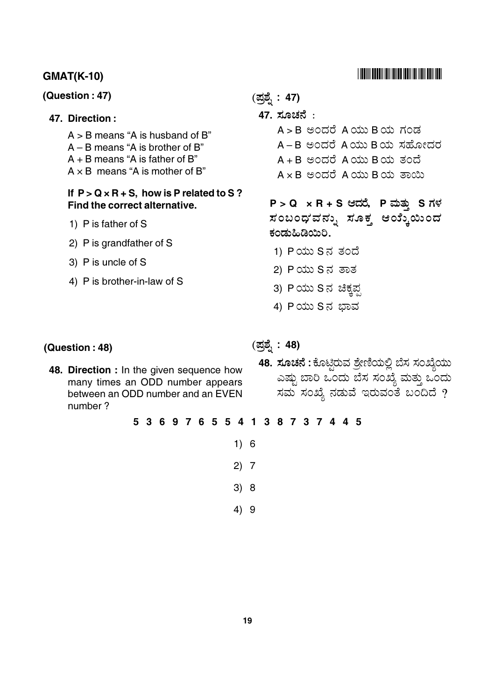### **GMAT(K-10)**

#### (Question: 47)

#### 47. Direction:

 $A > B$  means "A is husband of B"  $A - B$  means "A is brother of B"  $A + B$  means "A is father of B"  $A \times B$  means "A is mother of B"

#### If  $P > Q \times R + S$ , how is P related to S? Find the correct alternative.

- 1) P is father of S
- 2) P is grandfather of S
- 3) P is uncle of S
- 4) P is brother-in-law of S

(ಪ್ರಶ್ನೆ: 47)

- 47. ಸೂಚನೆ:
	- A>B ಅಂದರೆ Aಯು Bಯ ಗಂಡ
	- A-B ಅಂದರೆ Aಯು Bಯ ಸಹೋದರ
	- A + B ಅಂದರೆ A ಯು B ಯ ತಂದೆ
	- $A \times B$  පಂದರೆ  $A$ ಯು Bಯ ತಾಯಿ

 $P > Q \times R + S$  ಆದರೆ, P ಮತ್ತು S ಗಳ ಸಂಬಂಧ'ವನ್ನು ಸೂಕ್ತ ಆಯ್ಕೆಯಿಂದ ಕಂಡುಹಿಡಿಯಿರಿ.

- 1) Pಯು Sನ ತಂದೆ
- 2) Pಯು S ನ ತಾತ
- 3) Pಯು S ನ ಚಿಕ್ಕಪ್ಪ
- 4) Pಯು Sನ ಭಾವ

#### (Question: 48)

- 48. Direction : In the given sequence how many times an ODD number appears between an ODD number and an EVEN number?
- (ಪ್ರಶ್ನೆ : 48)
	- 48. ಸೂಚನೆ : ಕೊಟ್ಟಿರುವ ಶ್ರೇಣಿಯಲ್ಲಿ ಬೆಸ ಸಂಖ್ಯೆಯು ಎಷ್ಟು ಬಾರಿ ಒಂದು ಬೆಸ ಸಂಖ್ಯೆ ಮತ್ತು ಒಂದು ಸಮ ಸಂಖ್ಯೆ ನಡುವೆ ಇರುವಂತೆ ಬಂದಿದೆ ?
- 5 3 6 9 7 6 5 5 4 1 3 8 7 3 7 4 4 5
	- $1) 6$
	- $2) 7$
	- $3) 8$
	- $4)9$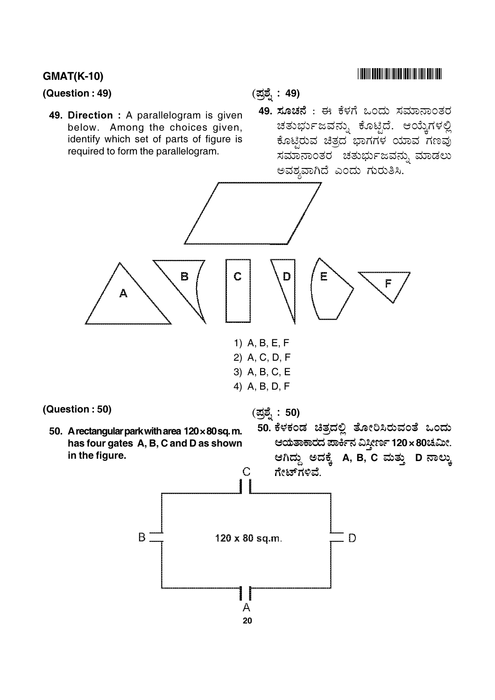## **GMAT(K-10)**

#### (Question: 49)

49. Direction : A parallelogram is given below. Among the choices given, identify which set of parts of figure is required to form the parallelogram.

(ಪ್ರಶ್ನೆ: 49)

49. ಸೂಚನೆ : ಈ ಕೆಳಗೆ ಒಂದು ಸಮಾನಾಂತರ ಚತುರ್ಭುಜವನ್ನು ಕೊಟ್ಟಿದೆ. ಆಯ್ಕೆಗಳಲ್ಲಿ ಕೊಟ್ಟಿರುವ ಚಿತ್ರದ ಭಾಗಗಳ ಯಾವ ಗಣವು ಸಮಾನಾಂತರ ಚತುರ್ಭುಜವನ್ನು ಮಾಡಲು ಅವಶ್ಯವಾಗಿದೆ ಎಂದು ಗುರುತಿಸಿ.

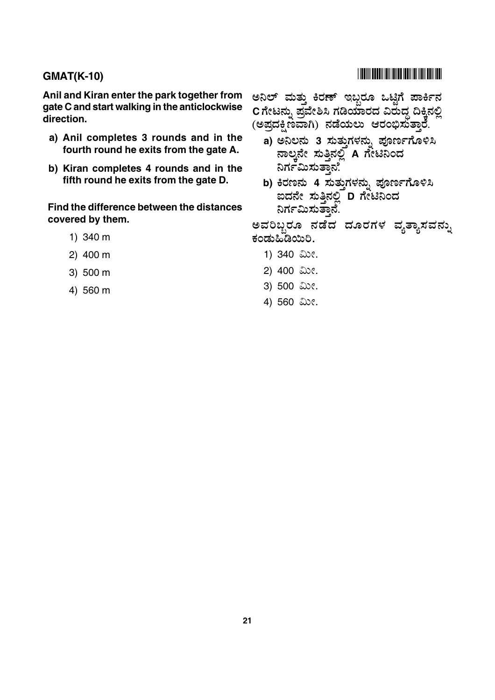Anil and Kiran enter the park together from gate C and start walking in the anticlockwise direction.

- a) Anil completes 3 rounds and in the fourth round he exits from the gate A.
- b) Kiran completes 4 rounds and in the fifth round he exits from the gate D.

Find the difference between the distances covered by them.

- 1) 340 m
- $2)$  400 m
- 3) 500 m
- 4) 560 m

## 

ಅನಿಲ್ ಮತ್ತು ಕಿರಣ್ ಇಬ್ಬರೂ ಒಟ್ಟಿಗೆ ಪಾರ್ಕಿನ Cಗೇಟನ್ನು ಪ್ರವೇಶಿಸಿ ಗಡಿಯಾರದ ವಿರುದ್ಧ ದಿಕ್ಕಿನಲ್ಲಿ (ಅಪ್ರದಕ್ಷಿಣವಾಗಿ) ನಡೆಯಲು ಆರಂಭಿಸುತ್ತಾರೆ.

- a) ಅನಿಲನು 3 ಸುತ್ತುಗಳನ್ನು ಪೂರ್ಣಗೊಳಿಸಿ ನಾಲ್ತನೇ ಸುತ್ತಿನಲ್ಲಿ A ಗೇಟಿನಿಂದ ನಿರ್ಗಮಿಸುತ್ತಾನೆ.
- b) ಕಿರಣನು 4 ಸುತ್ತುಗಳನ್ನು ಪೂರ್ಣಗೊಳಿಸಿ ಐದನೇ ಸುತ್ತಿನಲ್ಲಿ D ಗೇಟಿನಿಂದ ನಿರ್ಗಮಿಸುತ್ತಾನೆ.

ಅವರಿಬ್ಬರೂ ನಡೆದ ದೂರಗಳ ವ್ಯತ್ಯಾಸವನ್ನು ಕಂಡುಹಿಡಿಯಿರಿ.

- 1) 340 ಮೀ.
- 2) 400 ಮೀ.
- 3) 500 ಮೀ.
- 4) 560 ಮೀ.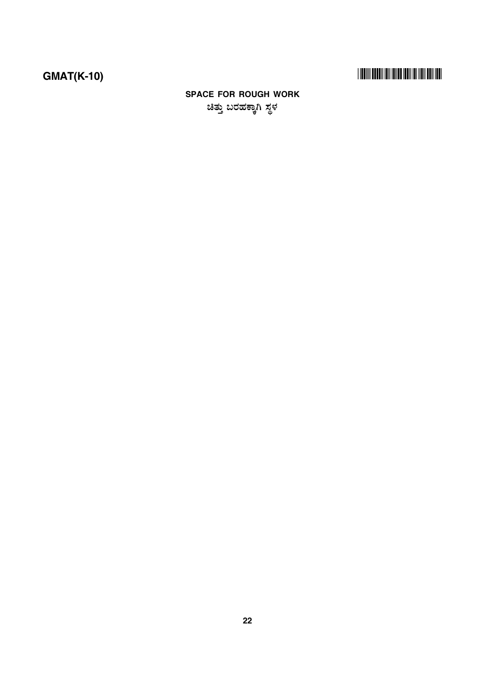# 

# **SPACE FOR ROUGH WORK** ಚಿತ್ತು ಬರಹಕ್ಕಾಗಿ ಸ್ಥಳ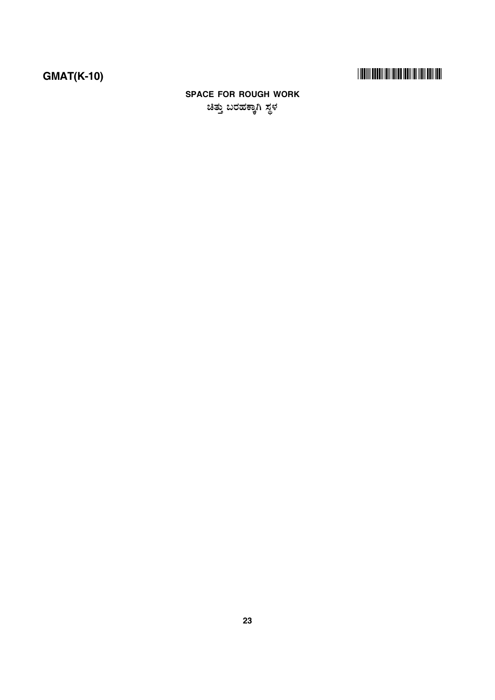# 

## **SPACE FOR ROUGH WORK** ಚಿತ್ತು ಬರಹಕ್ಕಾಗಿ ಸ್ಥಳ